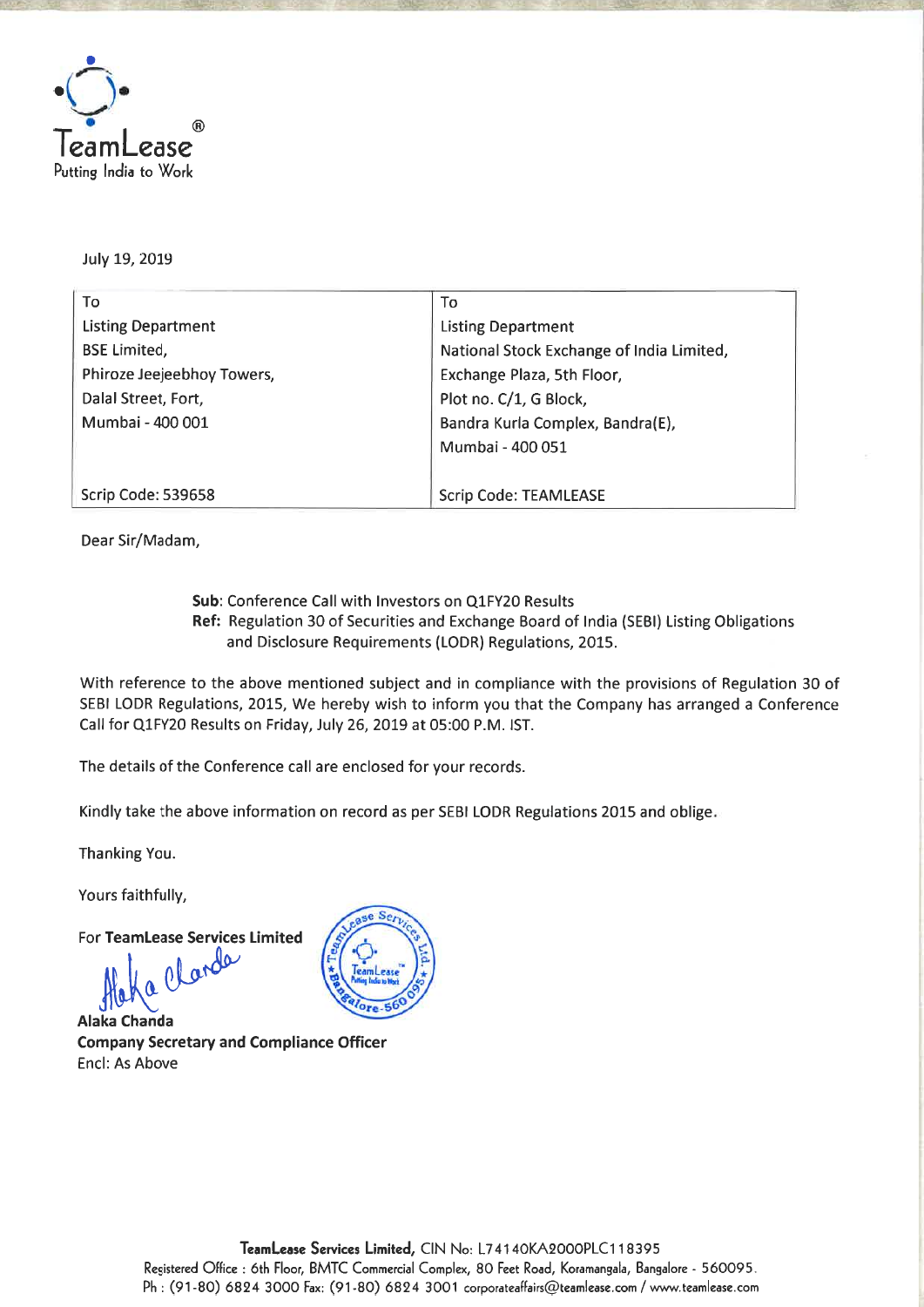

**July 19, 2019** 

| To                         | To                                        |  |
|----------------------------|-------------------------------------------|--|
| <b>Listing Department</b>  | <b>Listing Department</b>                 |  |
| <b>BSE Limited,</b>        | National Stock Exchange of India Limited, |  |
| Phiroze Jeejeebhoy Towers, | Exchange Plaza, 5th Floor,                |  |
| Dalal Street, Fort,        | Plot no. C/1, G Block,                    |  |
| Mumbai - 400 001           | Bandra Kurla Complex, Bandra(E),          |  |
|                            | Mumbai - 400 051                          |  |
|                            |                                           |  |
| Scrip Code: 539658         | <b>Scrip Code: TEAMLEASE</b>              |  |

**Dear Sir/Madam,** 

**Sub: Conference Call with Investors on Q1FY20 Results Ref: Regulation 30 of Securities and Exchange Board of India (SEBI) Listing Obligations and Disclosure Requirements (LODR) Regulations, 2015.** 

**-** Alintn:r!

**With reference to the above mentioned subject and in compliance with the provisions of Regulation 30 of SEBI LODR Regulations, 2015, We hereby wish to inform you that the Company has arranged a Conference Call for Q1FY20 Results on Friday, July 26, 2019 at 05:00 P.M. 1ST.** 

**The details of the Conference call are enclosed for your records.** 

**Kindly take the above information on record as per SEBI LODR Regulations 2015 and oblige**.

**Thanking You.** 

**Yours faithfully,** 

**For TeamLease Services Limited** 

**Alaka Chanda Company Secretary and Compliance Officer Encl: As Above**